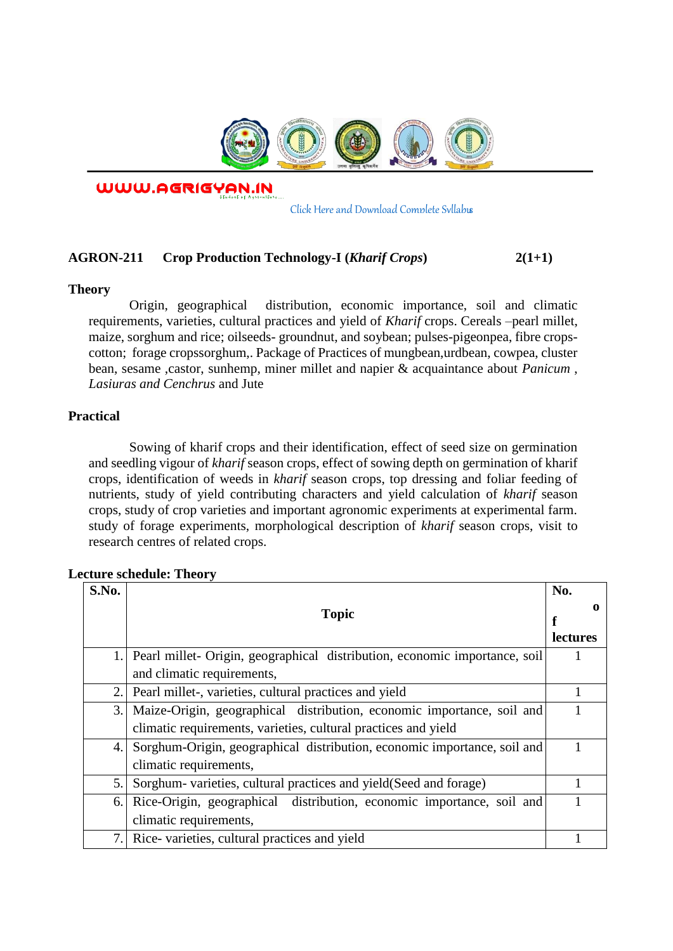

WWW.AGRIGYAN.IN

[Click Here and Download Complete Syllabus](http://agrigyan.in/)

## **AGRON-211 Crop Production Technology-I (***Kharif Crops***) 2(1+1)**

#### **Theory**

 $\overline{a}$ 

Origin, geographical distribution, economic importance, soil and climatic requirements, varieties, cultural practices and yield of *Kharif* crops. Cereals –pearl millet, maize, sorghum and rice; oilseeds- groundnut, and soybean; pulses-pigeonpea, fibre cropscotton; forage cropssorghum,. Package of Practices of mungbean,urdbean, cowpea, cluster bean, sesame ,castor, sunhemp, miner millet and napier & acquaintance about *Panicum* , *Lasiuras and Cenchrus* and Jute

## **Practical**

Sowing of kharif crops and their identification, effect of seed size on germination and seedling vigour of *kharif* season crops, effect of sowing depth on germination of kharif crops, identification of weeds in *kharif* season crops, top dressing and foliar feeding of nutrients, study of yield contributing characters and yield calculation of *kharif* season crops, study of crop varieties and important agronomic experiments at experimental farm. study of forage experiments, morphological description of *kharif* season crops, visit to research centres of related crops.

| S.No. |                                                                            | No.             |
|-------|----------------------------------------------------------------------------|-----------------|
|       | <b>Topic</b>                                                               |                 |
|       |                                                                            | <b>lectures</b> |
|       | Pearl millet- Origin, geographical distribution, economic importance, soil |                 |
|       | and climatic requirements,                                                 |                 |
| 2.    | Pearl millet-, varieties, cultural practices and yield                     |                 |
| 3.    | Maize-Origin, geographical distribution, economic importance, soil and     |                 |
|       | climatic requirements, varieties, cultural practices and yield             |                 |
| 4.    | Sorghum-Origin, geographical distribution, economic importance, soil and   |                 |
|       | climatic requirements,                                                     |                 |
| 5.    | Sorghum- varieties, cultural practices and yield (Seed and forage)         |                 |
| 6.    | Rice-Origin, geographical distribution, economic importance, soil and      |                 |
|       | climatic requirements,                                                     |                 |
| 7.    | Rice-varieties, cultural practices and yield                               |                 |

#### **Lecture schedule: Theory**